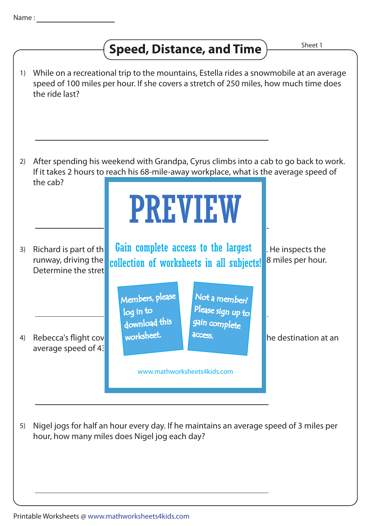## **Speed, Distance, and Time**  $\frac{\text{Sheet 1}}{\text{Sheet 2}}$